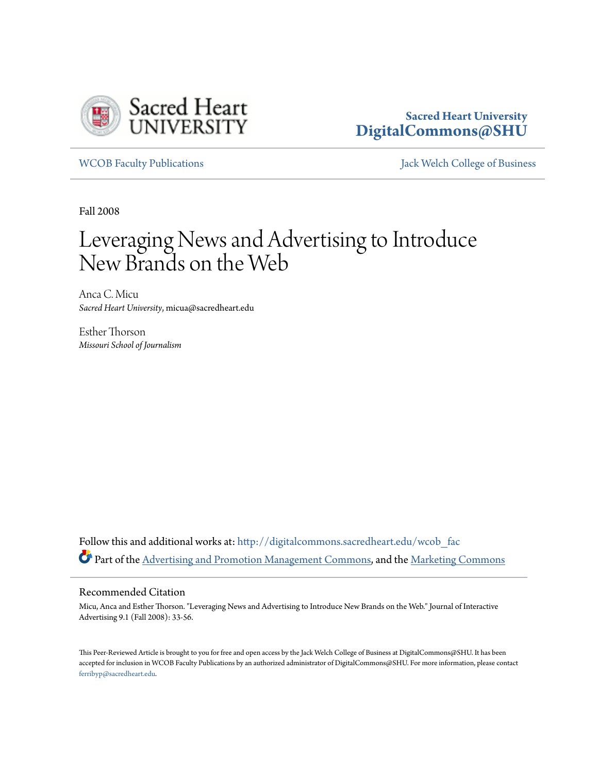

# **Sacred Heart University [DigitalCommons@SHU](http://digitalcommons.sacredheart.edu?utm_source=digitalcommons.sacredheart.edu%2Fwcob_fac%2F138&utm_medium=PDF&utm_campaign=PDFCoverPages)**

[WCOB Faculty Publications](http://digitalcommons.sacredheart.edu/wcob_fac?utm_source=digitalcommons.sacredheart.edu%2Fwcob_fac%2F138&utm_medium=PDF&utm_campaign=PDFCoverPages) [Jack Welch College of Business](http://digitalcommons.sacredheart.edu/wcob?utm_source=digitalcommons.sacredheart.edu%2Fwcob_fac%2F138&utm_medium=PDF&utm_campaign=PDFCoverPages)

Fall 2008

# Leveraging News and Advertising to Introduce New Brands on the Web

Anca C. Micu *Sacred Heart University*, micua@sacredheart.edu

Esther Thorson *Missouri School of Journalism*

Follow this and additional works at: [http://digitalcommons.sacredheart.edu/wcob\\_fac](http://digitalcommons.sacredheart.edu/wcob_fac?utm_source=digitalcommons.sacredheart.edu%2Fwcob_fac%2F138&utm_medium=PDF&utm_campaign=PDFCoverPages) Part of the [Advertising and Promotion Management Commons,](http://network.bepress.com/hgg/discipline/626?utm_source=digitalcommons.sacredheart.edu%2Fwcob_fac%2F138&utm_medium=PDF&utm_campaign=PDFCoverPages) and the [Marketing Commons](http://network.bepress.com/hgg/discipline/638?utm_source=digitalcommons.sacredheart.edu%2Fwcob_fac%2F138&utm_medium=PDF&utm_campaign=PDFCoverPages)

# Recommended Citation

Micu, Anca and Esther Thorson. "Leveraging News and Advertising to Introduce New Brands on the Web." Journal of Interactive Advertising 9.1 (Fall 2008): 33-56.

This Peer-Reviewed Article is brought to you for free and open access by the Jack Welch College of Business at DigitalCommons@SHU. It has been accepted for inclusion in WCOB Faculty Publications by an authorized administrator of DigitalCommons@SHU. For more information, please contact [ferribyp@sacredheart.edu](mailto:ferribyp@sacredheart.edu).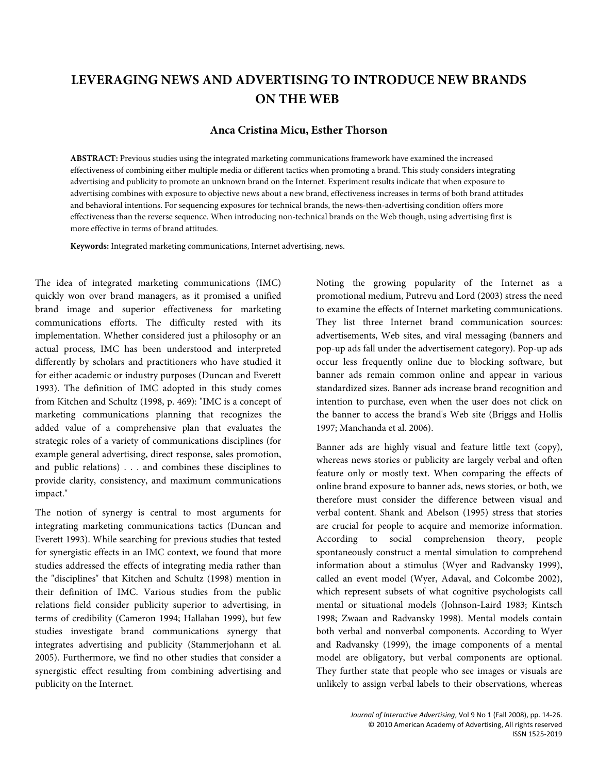# **LEVERAGING NEWS AND ADVERTISING TO INTRODUCE NEW BRANDS ON THE WEB**

# **Anca Cristina Micu, Esther Thorson**

**ABSTRACT:** Previous studies using the integrated marketing communications framework have examined the increased effectiveness of combining either multiple media or different tactics when promoting a brand. This study considers integrating advertising and publicity to promote an unknown brand on the Internet. Experiment results indicate that when exposure to advertising combines with exposure to objective news about a new brand, effectiveness increases in terms of both brand attitudes and behavioral intentions. For sequencing exposures for technical brands, the news-then-advertising condition offers more effectiveness than the reverse sequence. When introducing non-technical brands on the Web though, using advertising first is more effective in terms of brand attitudes.

**Keywords:** Integrated marketing communications, Internet advertising, news.

The idea of integrated marketing communications (IMC) quickly won over brand managers, as it promised a unified brand image and superior effectiveness for marketing communications efforts. The difficulty rested with its implementation. Whether considered just a philosophy or an actual process, IMC has been understood and interpreted differently by scholars and practitioners who have studied it for either academic or industry purposes (Duncan and Everett 1993). The definition of IMC adopted in this study comes from Kitchen and Schultz (1998, p. 469): "IMC is a concept of marketing communications planning that recognizes the added value of a comprehensive plan that evaluates the strategic roles of a variety of communications disciplines (for example general advertising, direct response, sales promotion, and public relations) . . . and combines these disciplines to provide clarity, consistency, and maximum communications impact."

The notion of synergy is central to most arguments for integrating marketing communications tactics (Duncan and Everett 1993). While searching for previous studies that tested for synergistic effects in an IMC context, we found that more studies addressed the effects of integrating media rather than the "disciplines" that Kitchen and Schultz (1998) mention in their definition of IMC. Various studies from the public relations field consider publicity superior to advertising, in terms of credibility (Cameron 1994; Hallahan 1999), but few studies investigate brand communications synergy that integrates advertising and publicity (Stammerjohann et al. 2005). Furthermore, we find no other studies that consider a synergistic effect resulting from combining advertising and publicity on the Internet.

Noting the growing popularity of the Internet as a promotional medium, Putrevu and Lord (2003) stress the need to examine the effects of Internet marketing communications. They list three Internet brand communication sources: advertisements, Web sites, and viral messaging (banners and pop-up ads fall under the advertisement category). Pop-up ads occur less frequently online due to blocking software, but banner ads remain common online and appear in various standardized sizes. Banner ads increase brand recognition and intention to purchase, even when the user does not click on the banner to access the brand's Web site (Briggs and Hollis 1997; Manchanda et al. 2006).

Banner ads are highly visual and feature little text (copy), whereas news stories or publicity are largely verbal and often feature only or mostly text. When comparing the effects of online brand exposure to banner ads, news stories, or both, we therefore must consider the difference between visual and verbal content. Shank and Abelson (1995) stress that stories are crucial for people to acquire and memorize information. According to social comprehension theory, people spontaneously construct a mental simulation to comprehend information about a stimulus (Wyer and Radvansky 1999), called an event model (Wyer, Adaval, and Colcombe 2002), which represent subsets of what cognitive psychologists call mental or situational models (Johnson-Laird 1983; Kintsch 1998; Zwaan and Radvansky 1998). Mental models contain both verbal and nonverbal components. According to Wyer and Radvansky (1999), the image components of a mental model are obligatory, but verbal components are optional. They further state that people who see images or visuals are unlikely to assign verbal labels to their observations, whereas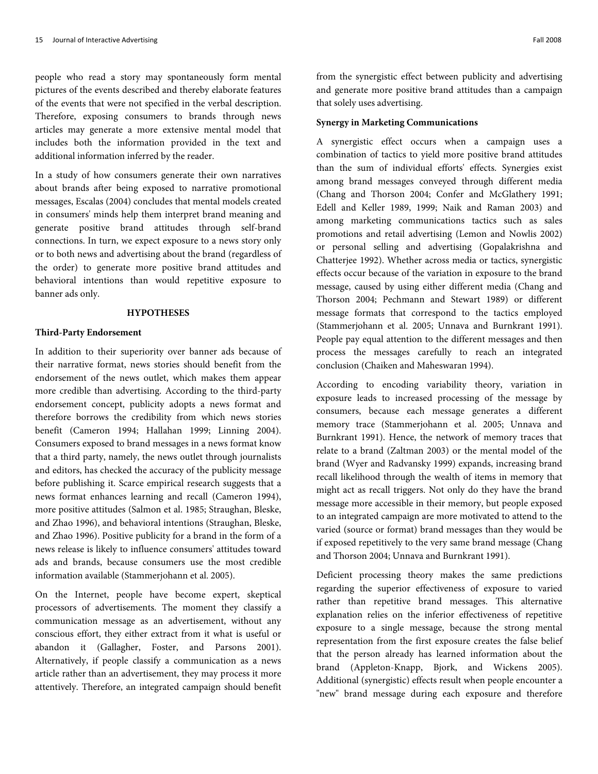people who read a story may spontaneously form mental pictures of the events described and thereby elaborate features of the events that were not specified in the verbal description. Therefore, exposing consumers to brands through news articles may generate a more extensive mental model that includes both the information provided in the text and additional information inferred by the reader.

In a study of how consumers generate their own narratives about brands after being exposed to narrative promotional messages, Escalas (2004) concludes that mental models created in consumers' minds help them interpret brand meaning and generate positive brand attitudes through self-brand connections. In turn, we expect exposure to a news story only or to both news and advertising about the brand (regardless of the order) to generate more positive brand attitudes and behavioral intentions than would repetitive exposure to banner ads only.

## **HYPOTHESES**

#### **Third-Party Endorsement**

In addition to their superiority over banner ads because of their narrative format, news stories should benefit from the endorsement of the news outlet, which makes them appear more credible than advertising. According to the third-party endorsement concept, publicity adopts a news format and therefore borrows the credibility from which news stories benefit (Cameron 1994; Hallahan 1999; Linning 2004). Consumers exposed to brand messages in a news format know that a third party, namely, the news outlet through journalists and editors, has checked the accuracy of the publicity message before publishing it. Scarce empirical research suggests that a news format enhances learning and recall (Cameron 1994), more positive attitudes (Salmon et al. 1985; Straughan, Bleske, and Zhao 1996), and behavioral intentions (Straughan, Bleske, and Zhao 1996). Positive publicity for a brand in the form of a news release is likely to influence consumers' attitudes toward ads and brands, because consumers use the most credible information available (Stammerjohann et al. 2005).

On the Internet, people have become expert, skeptical processors of advertisements. The moment they classify a communication message as an advertisement, without any conscious effort, they either extract from it what is useful or abandon it (Gallagher, Foster, and Parsons 2001). Alternatively, if people classify a communication as a news article rather than an advertisement, they may process it more attentively. Therefore, an integrated campaign should benefit from the synergistic effect between publicity and advertising and generate more positive brand attitudes than a campaign that solely uses advertising.

#### **Synergy in Marketing Communications**

A synergistic effect occurs when a campaign uses a combination of tactics to yield more positive brand attitudes than the sum of individual efforts' effects. Synergies exist among brand messages conveyed through different media (Chang and Thorson 2004; Confer and McGlathery 1991; Edell and Keller 1989, 1999; Naik and Raman 2003) and among marketing communications tactics such as sales promotions and retail advertising (Lemon and Nowlis 2002) or personal selling and advertising (Gopalakrishna and Chatterjee 1992). Whether across media or tactics, synergistic effects occur because of the variation in exposure to the brand message, caused by using either different media (Chang and Thorson 2004; Pechmann and Stewart 1989) or different message formats that correspond to the tactics employed (Stammerjohann et al. 2005; Unnava and Burnkrant 1991). People pay equal attention to the different messages and then process the messages carefully to reach an integrated conclusion (Chaiken and Maheswaran 1994).

According to encoding variability theory, variation in exposure leads to increased processing of the message by consumers, because each message generates a different memory trace (Stammerjohann et al. 2005; Unnava and Burnkrant 1991). Hence, the network of memory traces that relate to a brand (Zaltman 2003) or the mental model of the brand (Wyer and Radvansky 1999) expands, increasing brand recall likelihood through the wealth of items in memory that might act as recall triggers. Not only do they have the brand message more accessible in their memory, but people exposed to an integrated campaign are more motivated to attend to the varied (source or format) brand messages than they would be if exposed repetitively to the very same brand message (Chang and Thorson 2004; Unnava and Burnkrant 1991).

Deficient processing theory makes the same predictions regarding the superior effectiveness of exposure to varied rather than repetitive brand messages. This alternative explanation relies on the inferior effectiveness of repetitive exposure to a single message, because the strong mental representation from the first exposure creates the false belief that the person already has learned information about the brand (Appleton-Knapp, Bjork, and Wickens 2005). Additional (synergistic) effects result when people encounter a "new" brand message during each exposure and therefore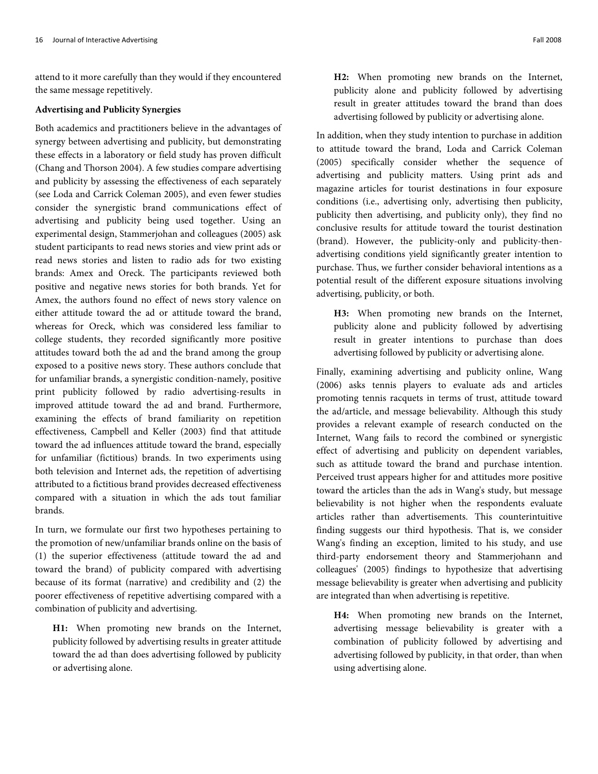attend to it more carefully than they would if they encountered the same message repetitively.

#### **Advertising and Publicity Synergies**

Both academics and practitioners believe in the advantages of synergy between advertising and publicity, but demonstrating these effects in a laboratory or field study has proven difficult (Chang and Thorson 2004). A few studies compare advertising and publicity by assessing the effectiveness of each separately (see Loda and Carrick Coleman 2005), and even fewer studies consider the synergistic brand communications effect of advertising and publicity being used together. Using an experimental design, Stammerjohan and colleagues (2005) ask student participants to read news stories and view print ads or read news stories and listen to radio ads for two existing brands: Amex and Oreck. The participants reviewed both positive and negative news stories for both brands. Yet for Amex, the authors found no effect of news story valence on either attitude toward the ad or attitude toward the brand, whereas for Oreck, which was considered less familiar to college students, they recorded significantly more positive attitudes toward both the ad and the brand among the group exposed to a positive news story. These authors conclude that for unfamiliar brands, a synergistic condition-namely, positive print publicity followed by radio advertising-results in improved attitude toward the ad and brand. Furthermore, examining the effects of brand familiarity on repetition effectiveness, Campbell and Keller (2003) find that attitude toward the ad influences attitude toward the brand, especially for unfamiliar (fictitious) brands. In two experiments using both television and Internet ads, the repetition of advertising attributed to a fictitious brand provides decreased effectiveness compared with a situation in which the ads tout familiar brands.

In turn, we formulate our first two hypotheses pertaining to the promotion of new/unfamiliar brands online on the basis of (1) the superior effectiveness (attitude toward the ad and toward the brand) of publicity compared with advertising because of its format (narrative) and credibility and (2) the poorer effectiveness of repetitive advertising compared with a combination of publicity and advertising.

**H1:** When promoting new brands on the Internet, publicity followed by advertising results in greater attitude toward the ad than does advertising followed by publicity or advertising alone.

**H2:** When promoting new brands on the Internet, publicity alone and publicity followed by advertising result in greater attitudes toward the brand than does advertising followed by publicity or advertising alone.

In addition, when they study intention to purchase in addition to attitude toward the brand, Loda and Carrick Coleman (2005) specifically consider whether the sequence of advertising and publicity matters. Using print ads and magazine articles for tourist destinations in four exposure conditions (i.e., advertising only, advertising then publicity, publicity then advertising, and publicity only), they find no conclusive results for attitude toward the tourist destination (brand). However, the publicity-only and publicity-thenadvertising conditions yield significantly greater intention to purchase. Thus, we further consider behavioral intentions as a potential result of the different exposure situations involving advertising, publicity, or both.

**H3:** When promoting new brands on the Internet, publicity alone and publicity followed by advertising result in greater intentions to purchase than does advertising followed by publicity or advertising alone.

Finally, examining advertising and publicity online, Wang (2006) asks tennis players to evaluate ads and articles promoting tennis racquets in terms of trust, attitude toward the ad/article, and message believability. Although this study provides a relevant example of research conducted on the Internet, Wang fails to record the combined or synergistic effect of advertising and publicity on dependent variables, such as attitude toward the brand and purchase intention. Perceived trust appears higher for and attitudes more positive toward the articles than the ads in Wang's study, but message believability is not higher when the respondents evaluate articles rather than advertisements. This counterintuitive finding suggests our third hypothesis. That is, we consider Wang's finding an exception, limited to his study, and use third-party endorsement theory and Stammerjohann and colleagues' (2005) findings to hypothesize that advertising message believability is greater when advertising and publicity are integrated than when advertising is repetitive.

**H4:** When promoting new brands on the Internet, advertising message believability is greater with a combination of publicity followed by advertising and advertising followed by publicity, in that order, than when using advertising alone.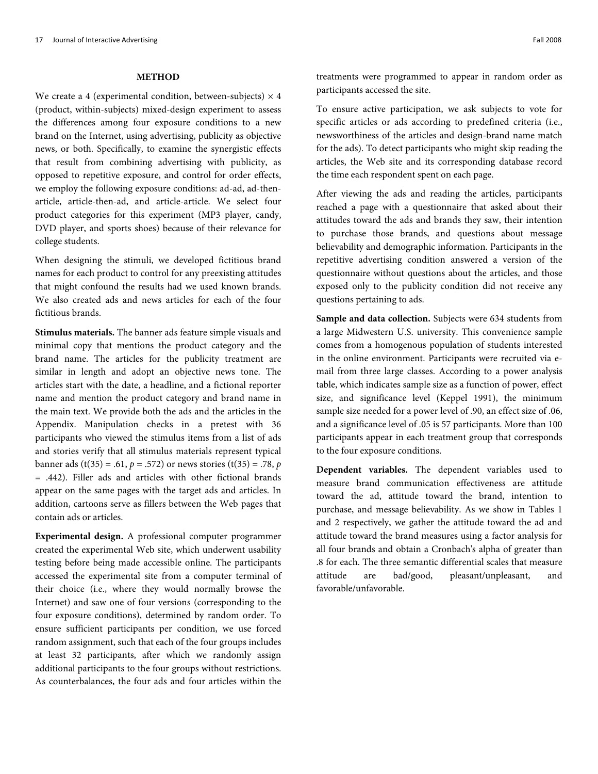#### **METHOD**

We create a 4 (experimental condition, between-subjects)  $\times$  4 (product, within-subjects) mixed-design experiment to assess the differences among four exposure conditions to a new brand on the Internet, using advertising, publicity as objective news, or both. Specifically, to examine the synergistic effects that result from combining advertising with publicity, as opposed to repetitive exposure, and control for order effects, we employ the following exposure conditions: ad-ad, ad-thenarticle, article-then-ad, and article-article. We select four product categories for this experiment (MP3 player, candy, DVD player, and sports shoes) because of their relevance for college students.

When designing the stimuli, we developed fictitious brand names for each product to control for any preexisting attitudes that might confound the results had we used known brands. We also created ads and news articles for each of the four fictitious brands.

**Stimulus materials.** The banner ads feature simple visuals and minimal copy that mentions the product category and the brand name. The articles for the publicity treatment are similar in length and adopt an objective news tone. The articles start with the date, a headline, and a fictional reporter name and mention the product category and brand name in the main text. We provide both the ads and the articles in the Appendix. Manipulation checks in a pretest with 36 participants who viewed the stimulus items from a list of ads and stories verify that all stimulus materials represent typical banner ads (t(35) = .61,  $p = .572$ ) or news stories (t(35) = .78,  $p$ = .442). Filler ads and articles with other fictional brands appear on the same pages with the target ads and articles. In addition, cartoons serve as fillers between the Web pages that contain ads or articles.

**Experimental design.** A professional computer programmer created the experimental Web site, which underwent usability testing before being made accessible online. The participants accessed the experimental site from a computer terminal of their choice (i.e., where they would normally browse the Internet) and saw one of four versions (corresponding to the four exposure conditions), determined by random order. To ensure sufficient participants per condition, we use forced random assignment, such that each of the four groups includes at least 32 participants, after which we randomly assign additional participants to the four groups without restrictions. As counterbalances, the four ads and four articles within the

treatments were programmed to appear in random order as participants accessed the site.

To ensure active participation, we ask subjects to vote for specific articles or ads according to predefined criteria (i.e., newsworthiness of the articles and design-brand name match for the ads). To detect participants who might skip reading the articles, the Web site and its corresponding database record the time each respondent spent on each page.

After viewing the ads and reading the articles, participants reached a page with a questionnaire that asked about their attitudes toward the ads and brands they saw, their intention to purchase those brands, and questions about message believability and demographic information. Participants in the repetitive advertising condition answered a version of the questionnaire without questions about the articles, and those exposed only to the publicity condition did not receive any questions pertaining to ads.

**Sample and data collection.** Subjects were 634 students from a large Midwestern U.S. university. This convenience sample comes from a homogenous population of students interested in the online environment. Participants were recruited via email from three large classes. According to a power analysis table, which indicates sample size as a function of power, effect size, and significance level (Keppel 1991), the minimum sample size needed for a power level of .90, an effect size of .06, and a significance level of .05 is 57 participants. More than 100 participants appear in each treatment group that corresponds to the four exposure conditions.

**Dependent variables.** The dependent variables used to measure brand communication effectiveness are attitude toward the ad, attitude toward the brand, intention to purchase, and message believability. As we show in Tables 1 and 2 respectively, we gather the attitude toward the ad and attitude toward the brand measures using a factor analysis for all four brands and obtain a Cronbach's alpha of greater than .8 for each. The three semantic differential scales that measure attitude are bad/good, pleasant/unpleasant, and favorable/unfavorable.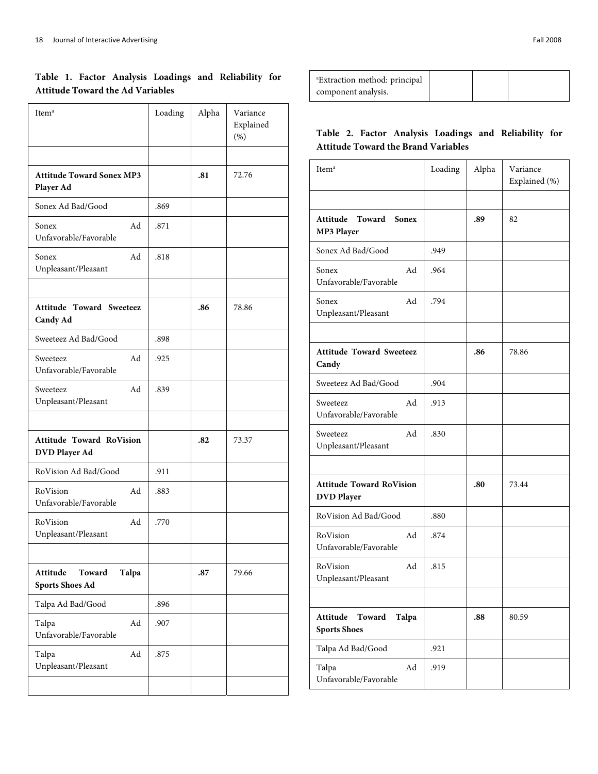# **Table 1. Factor Analysis Loadings and Reliability for Attitude Toward the Ad Variables**

| Item <sup>a</sup>                                                                                 | Loading | Alpha | Variance<br>Explained<br>(% ) |
|---------------------------------------------------------------------------------------------------|---------|-------|-------------------------------|
|                                                                                                   |         |       |                               |
| <b>Attitude Toward Sonex MP3</b><br>Player Ad                                                     |         | .81   | 72.76                         |
| Sonex Ad Bad/Good                                                                                 | .869    |       |                               |
| Sonex<br>Ad<br>Unfavorable/Favorable                                                              | .871    |       |                               |
| Sonex<br>Ad<br>Unpleasant/Pleasant                                                                | .818    |       |                               |
|                                                                                                   |         |       |                               |
| Attitude Toward Sweeteez<br><b>Candy Ad</b>                                                       |         | .86   | 78.86                         |
| Sweeteez Ad Bad/Good                                                                              | .898    |       |                               |
| Ad<br>Sweeteez<br>Unfavorable/Favorable                                                           | .925    |       |                               |
| Ad<br>Sweeteez<br>Unpleasant/Pleasant                                                             | .839    |       |                               |
|                                                                                                   |         |       |                               |
| Attitude Toward RoVision<br><b>DVD Player Ad</b>                                                  |         | .82   | 73.37                         |
| RoVision Ad Bad/Good                                                                              | .911    |       |                               |
| RoVision<br>Ad<br>Unfavorable/Favorable                                                           | .883    |       |                               |
| RoVision<br>Ad<br>$\ensuremath{\mathsf{Unplexant}}\xspace/\ensuremath{\mathsf{Pleaseant}}\xspace$ | .770    |       |                               |
|                                                                                                   |         |       |                               |
| Attitude<br>Toward<br>Talpa<br><b>Sports Shoes Ad</b>                                             |         | .87   | 79.66                         |
| Talpa Ad Bad/Good                                                                                 | .896    |       |                               |
| Talpa<br>Ad<br>Unfavorable/Favorable                                                              | .907    |       |                               |
| Ad<br>Talpa<br>Unpleasant/Pleasant                                                                | .875    |       |                               |
|                                                                                                   |         |       |                               |

| <sup>a</sup> Extraction method: principal |  |  |
|-------------------------------------------|--|--|
| component analysis.                       |  |  |

# **Table 2. Factor Analysis Loadings and Reliability for Attitude Toward the Brand Variables**

| Item <sup>a</sup>                                       | Loading | Alpha | Variance<br>Explained (%) |
|---------------------------------------------------------|---------|-------|---------------------------|
|                                                         |         |       |                           |
| Toward<br>Attitude<br><b>Sonex</b><br><b>MP3 Player</b> |         | .89   | 82                        |
| Sonex Ad Bad/Good                                       | .949    |       |                           |
| Sonex<br>Ad<br>Unfavorable/Favorable                    | .964    |       |                           |
| Ad<br>Sonex<br>Unpleasant/Pleasant                      | .794    |       |                           |
|                                                         |         |       |                           |
| <b>Attitude Toward Sweeteez</b><br>Candy                |         | .86   | 78.86                     |
| Sweeteez Ad Bad/Good                                    | .904    |       |                           |
| Sweeteez<br>Ad<br>Unfavorable/Favorable                 | .913    |       |                           |
| Sweeteez<br>Ad<br>Unpleasant/Pleasant                   | .830    |       |                           |
|                                                         |         |       |                           |
| <b>Attitude Toward RoVision</b><br><b>DVD</b> Player    |         | .80   | 73.44                     |
| RoVision Ad Bad/Good                                    | .880    |       |                           |
| RoVision<br>Ad<br>Unfavorable/Favorable                 | .874    |       |                           |
| RoVision<br>Ad<br>Unpleasant/Pleasant                   | .815    |       |                           |
|                                                         |         |       |                           |
| Attitude<br>Toward<br>Talpa<br><b>Sports Shoes</b>      |         | .88   | 80.59                     |
| Talpa Ad Bad/Good                                       | .921    |       |                           |
| Ad<br>Talpa<br>Unfavorable/Favorable                    | .919    |       |                           |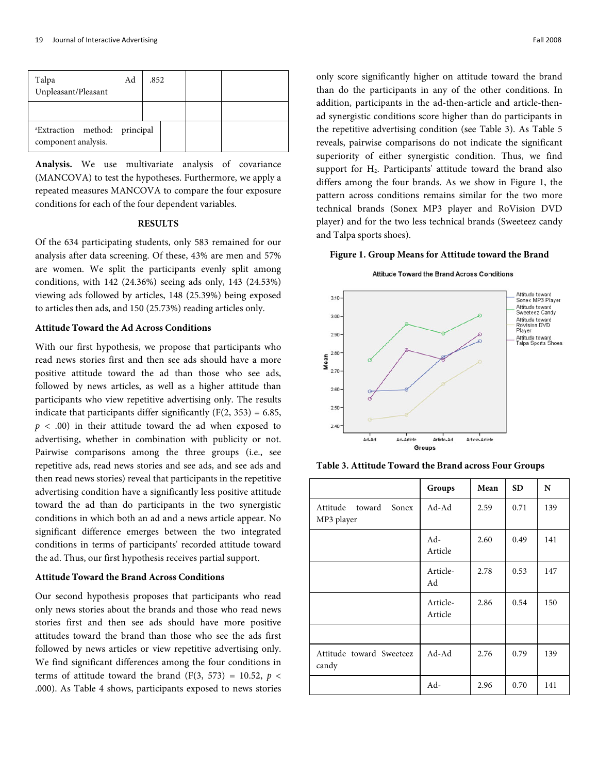| Talpa<br>Unpleasant/Pleasant                                     | Ad | .852 |  |  |
|------------------------------------------------------------------|----|------|--|--|
|                                                                  |    |      |  |  |
| <sup>a</sup> Extraction method: principal<br>component analysis. |    |      |  |  |

**Analysis.** We use multivariate analysis of covariance (MANCOVA) to test the hypotheses. Furthermore, we apply a repeated measures MANCOVA to compare the four exposure conditions for each of the four dependent variables.

## **RESULTS**

Of the 634 participating students, only 583 remained for our analysis after data screening. Of these, 43% are men and 57% are women. We split the participants evenly split among conditions, with 142 (24.36%) seeing ads only, 143 (24.53%) viewing ads followed by articles, 148 (25.39%) being exposed to articles then ads, and 150 (25.73%) reading articles only.

#### **Attitude Toward the Ad Across Conditions**

With our first hypothesis, we propose that participants who read news stories first and then see ads should have a more positive attitude toward the ad than those who see ads, followed by news articles, as well as a higher attitude than participants who view repetitive advertising only. The results indicate that participants differ significantly  $(F(2, 353) = 6.85,$ *p* < .00) in their attitude toward the ad when exposed to advertising, whether in combination with publicity or not. Pairwise comparisons among the three groups (i.e., see repetitive ads, read news stories and see ads, and see ads and then read news stories) reveal that participants in the repetitive advertising condition have a significantly less positive attitude toward the ad than do participants in the two synergistic conditions in which both an ad and a news article appear. No significant difference emerges between the two integrated conditions in terms of participants' recorded attitude toward the ad. Thus, our first hypothesis receives partial support.

#### **Attitude Toward the Brand Across Conditions**

Our second hypothesis proposes that participants who read only news stories about the brands and those who read news stories first and then see ads should have more positive attitudes toward the brand than those who see the ads first followed by news articles or view repetitive advertising only. We find significant differences among the four conditions in terms of attitude toward the brand  $(F(3, 573) = 10.52, p <$ .000). As Table 4 shows, participants exposed to news stories

only score significantly higher on attitude toward the brand than do the participants in any of the other conditions. In addition, participants in the ad-then-article and article-thenad synergistic conditions score higher than do participants in the repetitive advertising condition (see Table 3). As Table 5 reveals, pairwise comparisons do not indicate the significant superiority of either synergistic condition. Thus, we find support for  $H_2$ . Participants' attitude toward the brand also differs among the four brands. As we show in Figure 1, the pattern across conditions remains similar for the two more technical brands (Sonex MP3 player and RoVision DVD player) and for the two less technical brands (Sweeteez candy and Talpa sports shoes).

#### **Figure 1. Group Means for Attitude toward the Brand**

Attitude Toward the Brand Across Conditions



**Table 3. Attitude Toward the Brand across Four Groups** 

|                                        | Groups              | Mean | <b>SD</b> | N   |
|----------------------------------------|---------------------|------|-----------|-----|
| Attitude toward<br>Sonex<br>MP3 player | Ad-Ad               | 2.59 | 0.71      | 139 |
|                                        | $Ad-$<br>Article    | 2.60 | 0.49      | 141 |
|                                        | Article-<br>Ad      | 2.78 | 0.53      | 147 |
|                                        | Article-<br>Article | 2.86 | 0.54      | 150 |
|                                        |                     |      |           |     |
| Attitude toward Sweeteez<br>candy      | Ad-Ad               | 2.76 | 0.79      | 139 |
|                                        | $Ad-$               | 2.96 | 0.70      | 141 |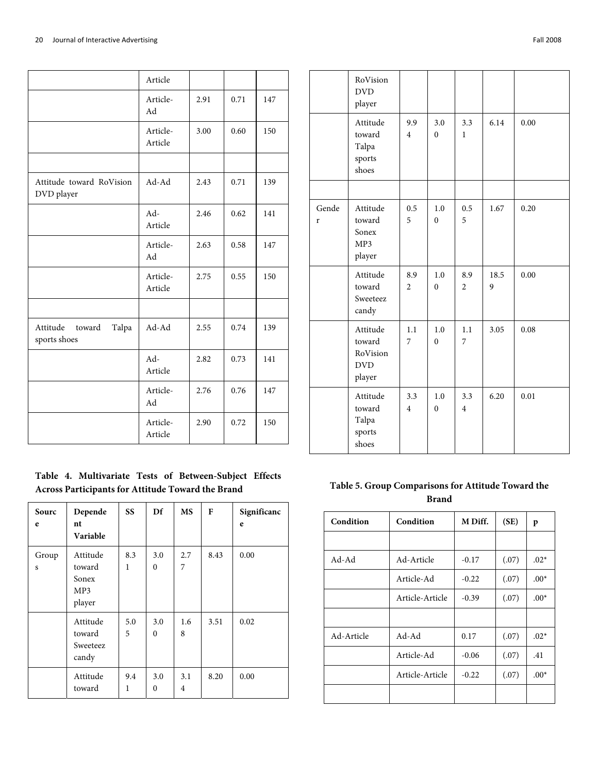|                                          | Article             |      |      |     |
|------------------------------------------|---------------------|------|------|-----|
|                                          | Article-<br>Ad      | 2.91 | 0.71 | 147 |
|                                          | Article-<br>Article | 3.00 | 0.60 | 150 |
|                                          |                     |      |      |     |
| Attitude toward RoVision<br>DVD player   | Ad-Ad               | 2.43 | 0.71 | 139 |
|                                          | $Ad-$<br>Article    | 2.46 | 0.62 | 141 |
|                                          | Article-<br>Ad      | 2.63 | 0.58 | 147 |
|                                          | Article-<br>Article | 2.75 | 0.55 | 150 |
|                                          |                     |      |      |     |
| Attitude toward<br>Talpa<br>sports shoes | Ad-Ad               | 2.55 | 0.74 | 139 |
|                                          | Ad-<br>Article      | 2.82 | 0.73 | 141 |
|                                          | Article-<br>Ad      | 2.76 | 0.76 | 147 |
|                                          | Article-<br>Article | 2.90 | 0.72 | 150 |

**Table 4. Multivariate Tests of Between-Subject Effects Across Participants for Attitude Toward the Brand** 

| Sourc<br>e | Depende<br>nt<br>Variable                    | <b>SS</b> | Df              | <b>MS</b> | F    | Significanc<br>e |
|------------|----------------------------------------------|-----------|-----------------|-----------|------|------------------|
| Group<br>S | Attitude<br>toward<br>Sonex<br>MP3<br>player | 8.3<br>1  | 3.0<br>$\Omega$ | 2.7<br>7  | 8.43 | 0.00             |
|            | Attitude<br>toward<br>Sweeteez<br>candy      | 5.0<br>5  | 3.0<br>$\Omega$ | 1.6<br>8  | 3.51 | 0.02             |
|            | Attitude<br>toward                           | 9.4<br>1  | 3.0<br>$\Omega$ | 3.1<br>4  | 8.20 | 0.00             |

|                  | RoVision<br><b>DVD</b><br>player                       |                       |                     |                       |           |      |
|------------------|--------------------------------------------------------|-----------------------|---------------------|-----------------------|-----------|------|
|                  | Attitude<br>toward<br>Talpa<br>sports<br>shoes         | 9.9<br>$\overline{4}$ | 3.0<br>$\theta$     | 3.3<br>$\mathbf{1}$   | 6.14      | 0.00 |
| Gende<br>$\bf r$ | Attitude<br>toward<br>Sonex<br>MP3<br>player           | 0.5<br>5              | 1.0<br>$\mathbf{0}$ | 0.5<br>5              | 1.67      | 0.20 |
|                  | Attitude<br>toward<br>Sweeteez<br>candy                | 8.9<br>$\overline{2}$ | 1.0<br>$\mathbf{0}$ | 8.9<br>$\overline{2}$ | 18.5<br>9 | 0.00 |
|                  | Attitude<br>toward<br>RoVision<br><b>DVD</b><br>player | 1.1<br>7              | 1.0<br>$\mathbf{0}$ | 1.1<br>7              | 3.05      | 0.08 |
|                  | Attitude<br>toward<br>Talpa<br>sports<br>shoes         | 3.3<br>$\overline{4}$ | 1.0<br>$\mathbf{0}$ | 3.3<br>$\overline{4}$ | 6.20      | 0.01 |

# **Table 5. Group Comparisons for Attitude Toward the Brand**

| Condition  | Condition       | M Diff. | (SE)  | p      |
|------------|-----------------|---------|-------|--------|
|            |                 |         |       |        |
| $Ad-Ad$    | Ad-Article      | $-0.17$ | (.07) | $.02*$ |
|            | Article-Ad      | $-0.22$ | (.07) | $.00*$ |
|            | Article-Article | $-0.39$ | (.07) | $.00*$ |
|            |                 |         |       |        |
| Ad-Article | $Ad-Ad$         | 0.17    | (.07) | $.02*$ |
|            | Article-Ad      | $-0.06$ | (.07) | .41    |
|            | Article-Article | $-0.22$ | (.07) | $.00*$ |
|            |                 |         |       |        |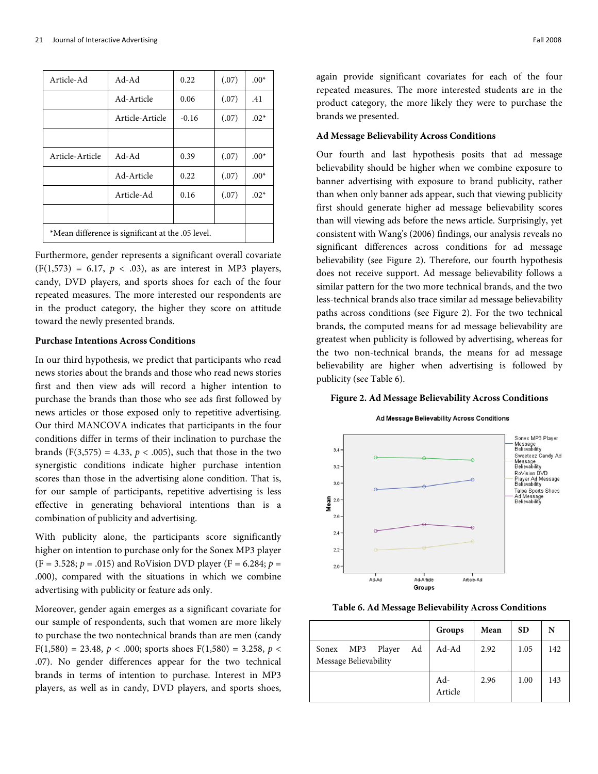| Article-Ad                                        | $Ad-Ad$         | 0.22    | (.07) | $.00*$ |  |  |
|---------------------------------------------------|-----------------|---------|-------|--------|--|--|
|                                                   | Ad-Article      | 0.06    | (.07) | .41    |  |  |
|                                                   | Article-Article | $-0.16$ | (.07) | $.02*$ |  |  |
|                                                   |                 |         |       |        |  |  |
| Article-Article                                   | $Ad-Ad$         | 0.39    | (.07) | $.00*$ |  |  |
|                                                   | Ad-Article      | 0.22    | (.07) | $.00*$ |  |  |
|                                                   | Article-Ad      | 0.16    | (.07) | $.02*$ |  |  |
|                                                   |                 |         |       |        |  |  |
| *Mean difference is significant at the .05 level. |                 |         |       |        |  |  |

Furthermore, gender represents a significant overall covariate  $(F(1,573) = 6.17, p < .03)$ , as are interest in MP3 players, candy, DVD players, and sports shoes for each of the four repeated measures. The more interested our respondents are in the product category, the higher they score on attitude toward the newly presented brands.

#### **Purchase Intentions Across Conditions**

In our third hypothesis, we predict that participants who read news stories about the brands and those who read news stories first and then view ads will record a higher intention to purchase the brands than those who see ads first followed by news articles or those exposed only to repetitive advertising. Our third MANCOVA indicates that participants in the four conditions differ in terms of their inclination to purchase the brands  $(F(3,575) = 4.33, p < .005)$ , such that those in the two synergistic conditions indicate higher purchase intention scores than those in the advertising alone condition. That is, for our sample of participants, repetitive advertising is less effective in generating behavioral intentions than is a combination of publicity and advertising.

With publicity alone, the participants score significantly higher on intention to purchase only for the Sonex MP3 player  $(F = 3.528; p = .015)$  and RoVision DVD player  $(F = 6.284; p = .015)$ .000), compared with the situations in which we combine advertising with publicity or feature ads only.

Moreover, gender again emerges as a significant covariate for our sample of respondents, such that women are more likely to purchase the two nontechnical brands than are men (candy  $F(1,580) = 23.48, p < .000$ ; sports shoes  $F(1,580) = 3.258, p <$ .07). No gender differences appear for the two technical brands in terms of intention to purchase. Interest in MP3 players, as well as in candy, DVD players, and sports shoes,

again provide significant covariates for each of the four repeated measures. The more interested students are in the product category, the more likely they were to purchase the brands we presented.

#### **Ad Message Believability Across Conditions**

Our fourth and last hypothesis posits that ad message believability should be higher when we combine exposure to banner advertising with exposure to brand publicity, rather than when only banner ads appear, such that viewing publicity first should generate higher ad message believability scores than will viewing ads before the news article. Surprisingly, yet consistent with Wang's (2006) findings, our analysis reveals no significant differences across conditions for ad message believability (see Figure 2). Therefore, our fourth hypothesis does not receive support. Ad message believability follows a similar pattern for the two more technical brands, and the two less-technical brands also trace similar ad message believability paths across conditions (see Figure 2). For the two technical brands, the computed means for ad message believability are greatest when publicity is followed by advertising, whereas for the two non-technical brands, the means for ad message believability are higher when advertising is followed by publicity (see Table 6).

#### **Figure 2. Ad Message Believability Across Conditions**

Ad Message Believability Across Conditions



**Table 6. Ad Message Believability Across Conditions**

|                                                    | Groups           | Mean | <b>SD</b> | N   |
|----------------------------------------------------|------------------|------|-----------|-----|
| Player Ad<br>MP3<br>Sonex<br>Message Believability | Ad-Ad            | 2.92 | 1.05      | 142 |
|                                                    | $Ad-$<br>Article | 2.96 | 1.00      | 143 |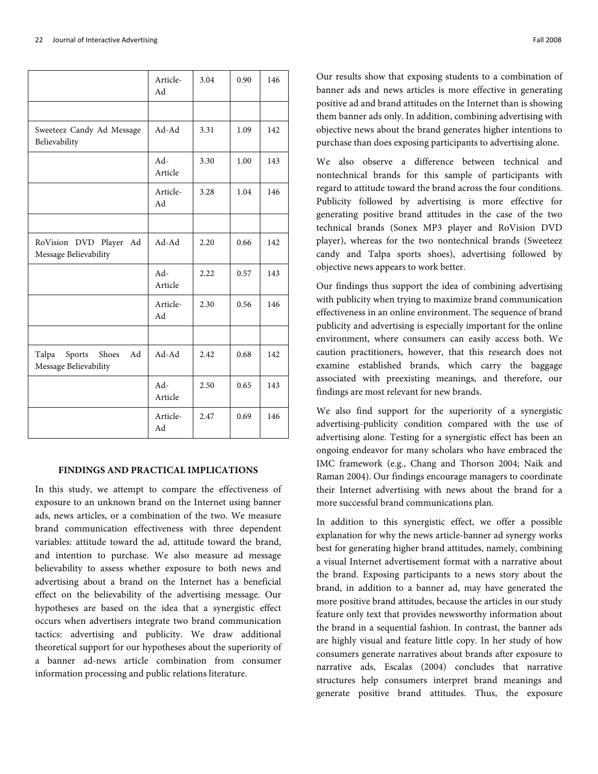| Article-         | 3.04 | 0.90 |     |
|------------------|------|------|-----|
| Ad               |      |      | 146 |
|                  |      |      |     |
| $Ad-Ad$          | 3.31 | 1.09 | 142 |
| $Ad-$<br>Article | 3.30 | 1.00 | 143 |
| Article-<br>Ad   | 3.28 | 1.04 | 146 |
|                  |      |      |     |
| $Ad-Ad$          | 2.20 | 0.66 | 142 |
| $Ad-$<br>Article | 2.22 | 0.57 | 143 |
| Article-<br>Ad   | 2.30 | 0.56 | 146 |
|                  |      |      |     |
| $Ad-Ad$          | 2.42 | 0.68 | 142 |
| $Ad-$<br>Article | 2.50 | 0.65 | 143 |
| Article-<br>Ad   | 2.47 | 0.69 | 146 |
|                  |      |      |     |

#### **FINDINGS AND PRACTICAL IMPLICATIONS**

In this study, we attempt to compare the effectiveness of exposure to an unknown brand on the Internet using banner ads, news articles, or a combination of the two. We measure brand communication effectiveness with three dependent variables: attitude toward the ad, attitude toward the brand, and intention to purchase. We also measure ad message believability to assess whether exposure to both news and advertising about a brand on the Internet has a beneficial effect on the believability of the advertising message. Our hypotheses are based on the idea that a synergistic effect occurs when advertisers integrate two brand communication tactics: advertising and publicity. We draw additional theoretical support for our hypotheses about the superiority of a banner ad-news article combination from consumer information processing and public relations literature.

Our results show that exposing students to a combination of banner ads and news articles is more effective in generating positive ad and brand attitudes on the Internet than is showing them banner ads only. In addition, combining advertising with objective news about the brand generates higher intentions to purchase than does exposing participants to advertising alone.

We also observe a difference between technical and nontechnical brands for this sample of participants with regard to attitude toward the brand across the four conditions. Publicity followed by advertising is more effective for generating positive brand attitudes in the case of the two technical brands (Sonex MP3 player and RoVision DVD player), whereas for the two nontechnical brands (Sweeteez candy and Talpa sports shoes), advertising followed by objective news appears to work better.

Our findings thus support the idea of combining advertising with publicity when trying to maximize brand communication effectiveness in an online environment. The sequence of brand publicity and advertising is especially important for the online environment, where consumers can easily access both. We caution practitioners, however, that this research does not examine established brands, which carry the baggage associated with preexisting meanings, and therefore, our findings are most relevant for new brands.

We also find support for the superiority of a synergistic advertising-publicity condition compared with the use of advertising alone. Testing for a synergistic effect has been an ongoing endeavor for many scholars who have embraced the IMC framework (e.g., Chang and Thorson 2004; Naik and Raman 2004). Our findings encourage managers to coordinate their Internet advertising with news about the brand for a more successful brand communications plan.

In addition to this synergistic effect, we offer a possible explanation for why the news article-banner ad synergy works best for generating higher brand attitudes, namely, combining a visual Internet advertisement format with a narrative about the brand. Exposing participants to a news story about the brand, in addition to a banner ad, may have generated the more positive brand attitudes, because the articles in our study feature only text that provides newsworthy information about the brand in a sequential fashion. In contrast, the banner ads are highly visual and feature little copy. In her study of how consumers generate narratives about brands after exposure to narrative ads, Escalas (2004) concludes that narrative structures help consumers interpret brand meanings and generate positive brand attitudes. Thus, the exposure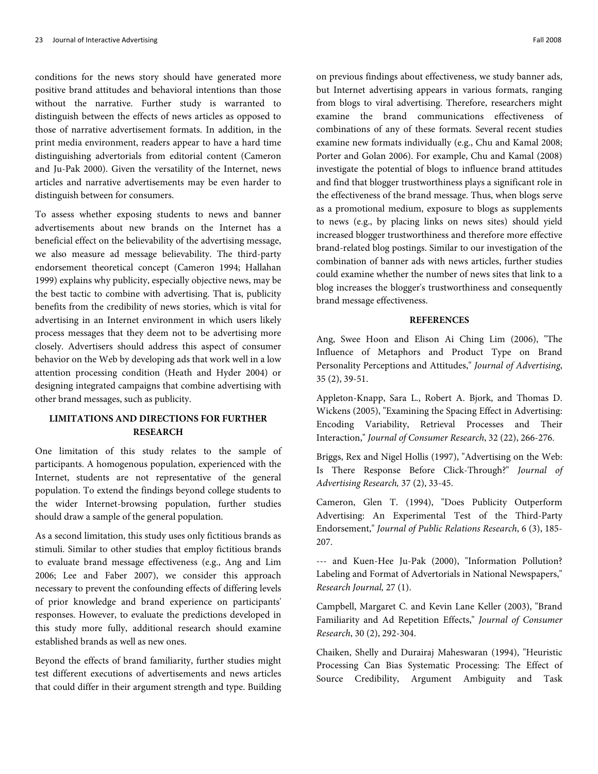conditions for the news story should have generated more positive brand attitudes and behavioral intentions than those without the narrative. Further study is warranted to distinguish between the effects of news articles as opposed to those of narrative advertisement formats. In addition, in the print media environment, readers appear to have a hard time distinguishing advertorials from editorial content (Cameron and Ju-Pak 2000). Given the versatility of the Internet, news articles and narrative advertisements may be even harder to distinguish between for consumers.

To assess whether exposing students to news and banner advertisements about new brands on the Internet has a beneficial effect on the believability of the advertising message, we also measure ad message believability. The third-party endorsement theoretical concept (Cameron 1994; Hallahan 1999) explains why publicity, especially objective news, may be the best tactic to combine with advertising. That is, publicity benefits from the credibility of news stories, which is vital for advertising in an Internet environment in which users likely process messages that they deem not to be advertising more closely. Advertisers should address this aspect of consumer behavior on the Web by developing ads that work well in a low attention processing condition (Heath and Hyder 2004) or designing integrated campaigns that combine advertising with other brand messages, such as publicity.

# **LIMITATIONS AND DIRECTIONS FOR FURTHER RESEARCH**

One limitation of this study relates to the sample of participants. A homogenous population, experienced with the Internet, students are not representative of the general population. To extend the findings beyond college students to the wider Internet-browsing population, further studies should draw a sample of the general population.

As a second limitation, this study uses only fictitious brands as stimuli. Similar to other studies that employ fictitious brands to evaluate brand message effectiveness (e.g., Ang and Lim 2006; Lee and Faber 2007), we consider this approach necessary to prevent the confounding effects of differing levels of prior knowledge and brand experience on participants' responses. However, to evaluate the predictions developed in this study more fully, additional research should examine established brands as well as new ones.

Beyond the effects of brand familiarity, further studies might test different executions of advertisements and news articles that could differ in their argument strength and type. Building

on previous findings about effectiveness, we study banner ads, but Internet advertising appears in various formats, ranging from blogs to viral advertising. Therefore, researchers might examine the brand communications effectiveness of combinations of any of these formats. Several recent studies examine new formats individually (e.g., Chu and Kamal 2008; Porter and Golan 2006). For example, Chu and Kamal (2008) investigate the potential of blogs to influence brand attitudes and find that blogger trustworthiness plays a significant role in the effectiveness of the brand message. Thus, when blogs serve as a promotional medium, exposure to blogs as supplements to news (e.g., by placing links on news sites) should yield increased blogger trustworthiness and therefore more effective brand-related blog postings. Similar to our investigation of the combination of banner ads with news articles, further studies could examine whether the number of news sites that link to a blog increases the blogger's trustworthiness and consequently brand message effectiveness.

#### **REFERENCES**

Ang, Swee Hoon and Elison Ai Ching Lim (2006), "The Influence of Metaphors and Product Type on Brand Personality Perceptions and Attitudes," *Journal of Advertising*, 35 (2), 39-51.

Appleton-Knapp, Sara L., Robert A. Bjork, and Thomas D. Wickens (2005), "Examining the Spacing Effect in Advertising: Encoding Variability, Retrieval Processes and Their Interaction," *Journal of Consumer Research*, 32 (22), 266-276.

Briggs, Rex and Nigel Hollis (1997), "Advertising on the Web: Is There Response Before Click-Through?" *Journal of Advertising Research,* 37 (2), 33-45.

Cameron, Glen T. (1994), "Does Publicity Outperform Advertising: An Experimental Test of the Third-Party Endorsement," *Journal of Public Relations Research*, 6 (3), 185- 207.

--- and Kuen-Hee Ju-Pak (2000), "Information Pollution? Labeling and Format of Advertorials in National Newspapers," *Research Journal,* 27 (1).

Campbell, Margaret C. and Kevin Lane Keller (2003), "Brand Familiarity and Ad Repetition Effects," *Journal of Consumer Research*, 30 (2), 292-304.

Chaiken, Shelly and Durairaj Maheswaran (1994), "Heuristic Processing Can Bias Systematic Processing: The Effect of Source Credibility, Argument Ambiguity and Task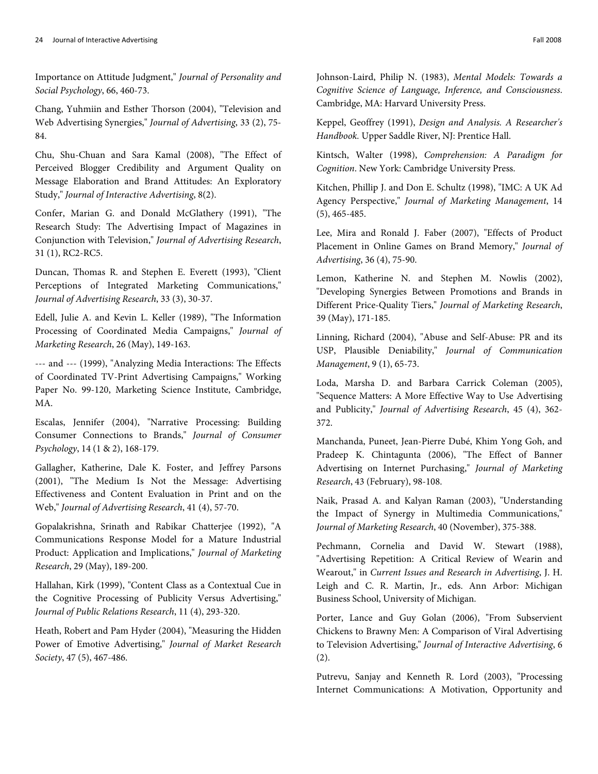Importance on Attitude Judgment," *Journal of Personality and Social Psychology*, 66, 460-73.

Chang, Yuhmiin and Esther Thorson (2004), "Television and Web Advertising Synergies," *Journal of Advertising*, 33 (2), 75- 84.

Chu, Shu-Chuan and Sara Kamal (2008), "The Effect of Perceived Blogger Credibility and Argument Quality on Message Elaboration and Brand Attitudes: An Exploratory Study," *Journal of Interactive Advertising*, 8(2).

Confer, Marian G. and Donald McGlathery (1991), "The Research Study: The Advertising Impact of Magazines in Conjunction with Television," *Journal of Advertising Research*, 31 (1), RC2-RC5.

Duncan, Thomas R. and Stephen E. Everett (1993), "Client Perceptions of Integrated Marketing Communications," *Journal of Advertising Research*, 33 (3), 30-37.

Edell, Julie A. and Kevin L. Keller (1989), "The Information Processing of Coordinated Media Campaigns," *Journal of Marketing Research*, 26 (May), 149-163.

--- and --- (1999), "Analyzing Media Interactions: The Effects of Coordinated TV-Print Advertising Campaigns," Working Paper No. 99-120, Marketing Science Institute, Cambridge, MA.

Escalas, Jennifer (2004), "Narrative Processing: Building Consumer Connections to Brands," *Journal of Consumer Psychology*, 14 (1 & 2), 168-179.

Gallagher, Katherine, Dale K. Foster, and Jeffrey Parsons (2001), "The Medium Is Not the Message: Advertising Effectiveness and Content Evaluation in Print and on the Web," *Journal of Advertising Research*, 41 (4), 57-70.

Gopalakrishna, Srinath and Rabikar Chatterjee (1992), "A Communications Response Model for a Mature Industrial Product: Application and Implications," *Journal of Marketing Research*, 29 (May), 189-200.

Hallahan, Kirk (1999), "Content Class as a Contextual Cue in the Cognitive Processing of Publicity Versus Advertising," *Journal of Public Relations Research*, 11 (4), 293-320.

Heath, Robert and Pam Hyder (2004), "Measuring the Hidden Power of Emotive Advertising," *Journal of Market Research Society*, 47 (5), 467-486.

Johnson-Laird, Philip N. (1983), *Mental Models: Towards a Cognitive Science of Language, Inference, and Consciousness*. Cambridge, MA: Harvard University Press.

Keppel, Geoffrey (1991), *Design and Analysis. A Researcher's Handbook.* Upper Saddle River, NJ: Prentice Hall.

Kintsch, Walter (1998), *Comprehension: A Paradigm for Cognition*. New York: Cambridge University Press.

Kitchen, Phillip J. and Don E. Schultz (1998), "IMC: A UK Ad Agency Perspective," *Journal of Marketing Management*, 14 (5), 465-485.

Lee, Mira and Ronald J. Faber (2007), "Effects of Product Placement in Online Games on Brand Memory," *Journal of Advertising*, 36 (4), 75-90.

Lemon, Katherine N. and Stephen M. Nowlis (2002), "Developing Synergies Between Promotions and Brands in Different Price-Quality Tiers," *Journal of Marketing Research*, 39 (May), 171-185.

Linning, Richard (2004), "Abuse and Self-Abuse: PR and its USP, Plausible Deniability," *Journal of Communication Management*, 9 (1), 65-73.

Loda, Marsha D. and Barbara Carrick Coleman (2005), "Sequence Matters: A More Effective Way to Use Advertising and Publicity," *Journal of Advertising Research*, 45 (4), 362- 372.

Manchanda, Puneet, Jean-Pierre Dubé, Khim Yong Goh, and Pradeep K. Chintagunta (2006), "The Effect of Banner Advertising on Internet Purchasing," *Journal of Marketing Research*, 43 (February), 98-108.

Naik, Prasad A. and Kalyan Raman (2003), "Understanding the Impact of Synergy in Multimedia Communications," *Journal of Marketing Research*, 40 (November), 375-388.

Pechmann, Cornelia and David W. Stewart (1988), "Advertising Repetition: A Critical Review of Wearin and Wearout," in *Current Issues and Research in Advertising*, J. H. Leigh and C. R. Martin, Jr., eds. Ann Arbor: Michigan Business School, University of Michigan.

Porter, Lance and Guy Golan (2006), "From Subservient Chickens to Brawny Men: A Comparison of Viral Advertising to Television Advertising," *Journal of Interactive Advertising*, 6 (2).

Putrevu, Sanjay and Kenneth R. Lord (2003), "Processing Internet Communications: A Motivation, Opportunity and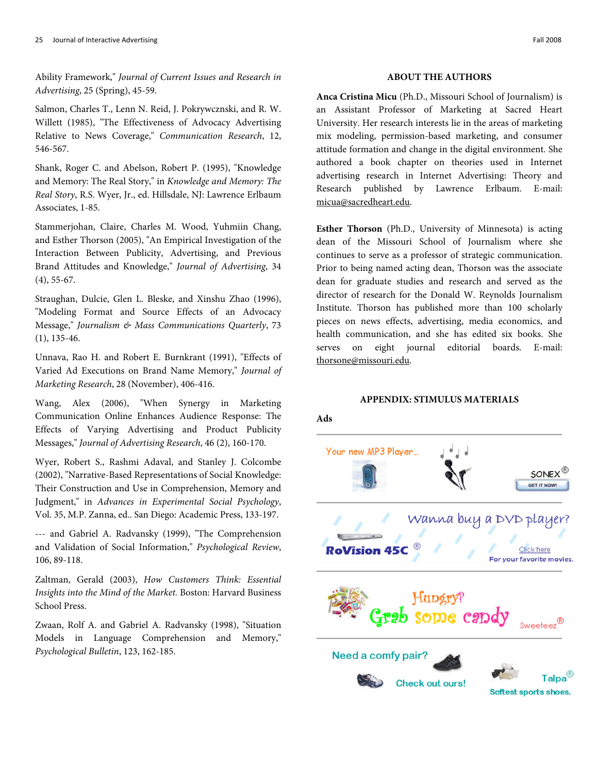Ability Framework," *Journal of Current Issues and Research in Advertising*, 25 (Spring), 45-59.

Salmon, Charles T., Lenn N. Reid, J. Pokrywcznski, and R. W. Willett (1985), "The Effectiveness of Advocacy Advertising Relative to News Coverage," *Communication Research*, 12, 546-567.

Shank, Roger C. and Abelson, Robert P. (1995), "Knowledge and Memory: The Real Story," in *Knowledge and Memory: The Real Story*, R.S. Wyer, Jr., ed. Hillsdale, NJ: Lawrence Erlbaum Associates, 1-85.

Stammerjohan, Claire, Charles M. Wood, Yuhmiin Chang, and Esther Thorson (2005), "An Empirical Investigation of the Interaction Between Publicity, Advertising, and Previous Brand Attitudes and Knowledge," *Journal of Advertising*, 34 (4), 55-67.

Straughan, Dulcie, Glen L. Bleske, and Xinshu Zhao (1996), "Modeling Format and Source Effects of an Advocacy Message," *Journalism & Mass Communications Quarterly*, 73 (1), 135-46.

Unnava, Rao H. and Robert E. Burnkrant (1991), "Effects of Varied Ad Executions on Brand Name Memory," *Journal of Marketing Research*, 28 (November), 406-416.

Wang, Alex (2006), "When Synergy in Marketing Communication Online Enhances Audience Response: The Effects of Varying Advertising and Product Publicity Messages," *Journal of Advertising Research*, 46 (2), 160-170.

Wyer, Robert S., Rashmi Adaval, and Stanley J. Colcombe (2002), "Narrative-Based Representations of Social Knowledge: Their Construction and Use in Comprehension, Memory and Judgment," in *Advances in Experimental Social Psychology*, Vol. 35, M.P. Zanna, ed.. San Diego: Academic Press, 133-197.

--- and Gabriel A. Radvansky (1999), "The Comprehension and Validation of Social Information," *Psychological Review*, 106, 89-118.

Zaltman, Gerald (2003), *How Customers Think: Essential Insights into the Mind of the Market.* Boston: Harvard Business School Press.

Zwaan, Rolf A. and Gabriel A. Radvansky (1998), "Situation Models in Language Comprehension and Memory," *Psychological Bulletin*, 123, 162-185.

## **ABOUT THE AUTHORS**

**Anca Cristina Micu** (Ph.D., Missouri School of Journalism) is an Assistant Professor of Marketing at Sacred Heart University. Her research interests lie in the areas of marketing mix modeling, permission-based marketing, and consumer attitude formation and change in the digital environment. She authored a book chapter on theories used in Internet advertising research in Internet Advertising: Theory and Research published by Lawrence Erlbaum. E-mail: [micua@sacredheart.edu.](mailto:micua@sacredheart.edu)

**Esther Thorson** (Ph.D., University of Minnesota) is acting dean of the Missouri School of Journalism where she continues to serve as a professor of strategic communication. Prior to being named acting dean, Thorson was the associate dean for graduate studies and research and served as the director of research for the Donald W. Reynolds Journalism Institute. Thorson has published more than 100 scholarly pieces on news effects, advertising, media economics, and health communication, and she has edited six books. She serves on eight journal editorial boards. E-mail: [thorsone@missouri.edu](mailto:thorsone@missouri.edu).

#### **APPENDIX: STIMULUS MATERIALS**